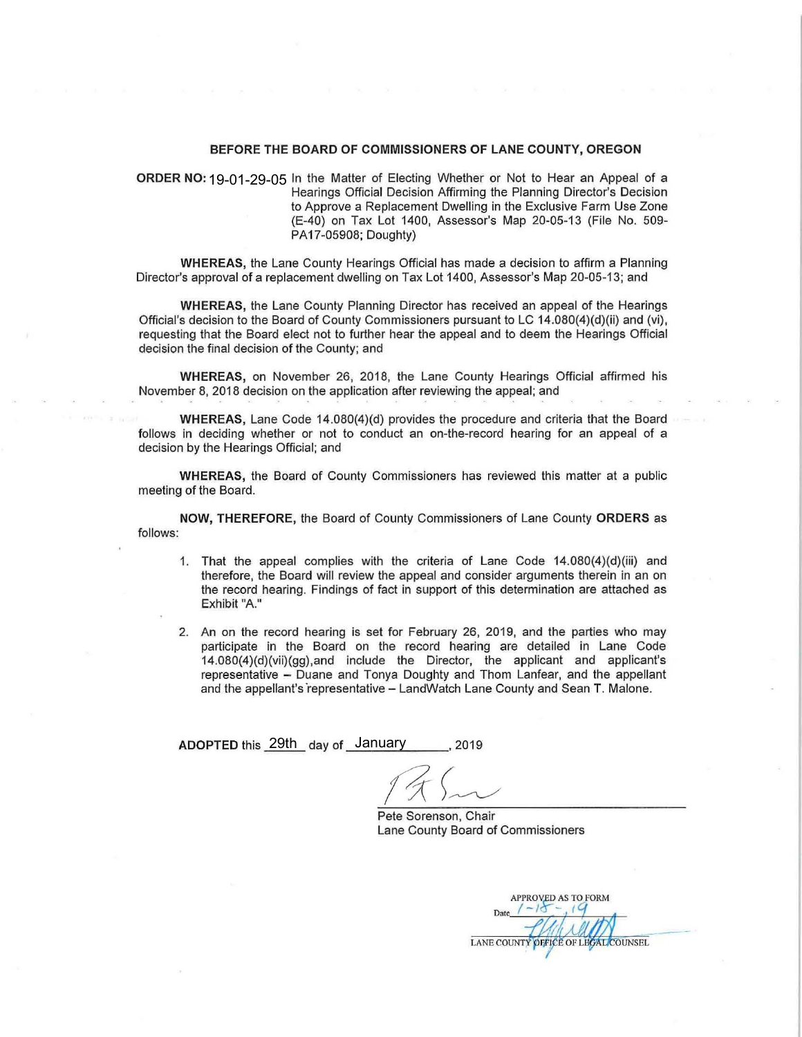## **BEFORE THE BOARD OF COMMISSIONERS OF LANE COUNTY, OREGON**

**ORDER NO:** 19-01-29-05 In the Matter of Electing Whether or Not to Hear an Appeal of a Hearings Official Decision Affirming the Planning Director's Decision to Approve a Replacement Dwelling in the Exclusive Farm Use Zone (E-40) on Tax Lot 1400, Assessor's Map 20-05-13 (File No. 509- PA17-05908; Doughty)

**WHEREAS,** the Lane County Hearings Official has made a decision to affirm a Planning Director's approval of a replacement dwelling on Tax Lot 1400, Assessor's Map 20-05-13; and

**WHEREAS,** the Lane County Planning Director has received an appeal of the Hearings Official's decision to the Board of County Commissioners pursuant to LC 14.080(4)(d)(ii) and (vi), requesting that the Board elect not to further hear the appeal and to deem the Hearings Official decision the final decision of the County; and

**WHEREAS,** on November 26, 2018, the Lane County Hearings Official affirmed his November 8, 2018 decision on the application after reviewing the appeal; and

**WHEREAS,** Lane Code 14.080(4)(d) provides the procedure and criteria that the Board follows in deciding whether or not to conduct an on-the-record hearing for an appeal of a decision by the Hearings Official; and

**WHEREAS,** the Board of County Commissioners has reviewed this matter at a public meeting of the Board.

**NOW, THEREFORE,** the Board of County Commissioners of Lane County **ORDERS** as follows:

- 1. That the appeal complies with the criteria of Lane Code 14.080(4)(d)(iii) and therefore, the Board will review the appeal and consider arguments therein in an on the record hearing. Findings of fact in support of this determination are attached as Exhibit "A."
- 2. An on the record hearing is set for February 26, 2019, and the parties who may participate in the Board on the record hearing are detailed in Lane Code 14.080(4)(d)(vii)(gg),and include the Director, the applicant and applicant's representative - Duane and Tonya Doughty and Thom Lanfear, and the appellant and the appellant's representative - LandWatch Lane County and Sean T. Malone.

ADOPTED this <u>29th</u> day of January 10019

Pete Sorenson, Chair Lane County Board of Commissioners

**APPROVED AS TO FORM** LANE COUNTY OFFICE OF LEGAL COUNSEL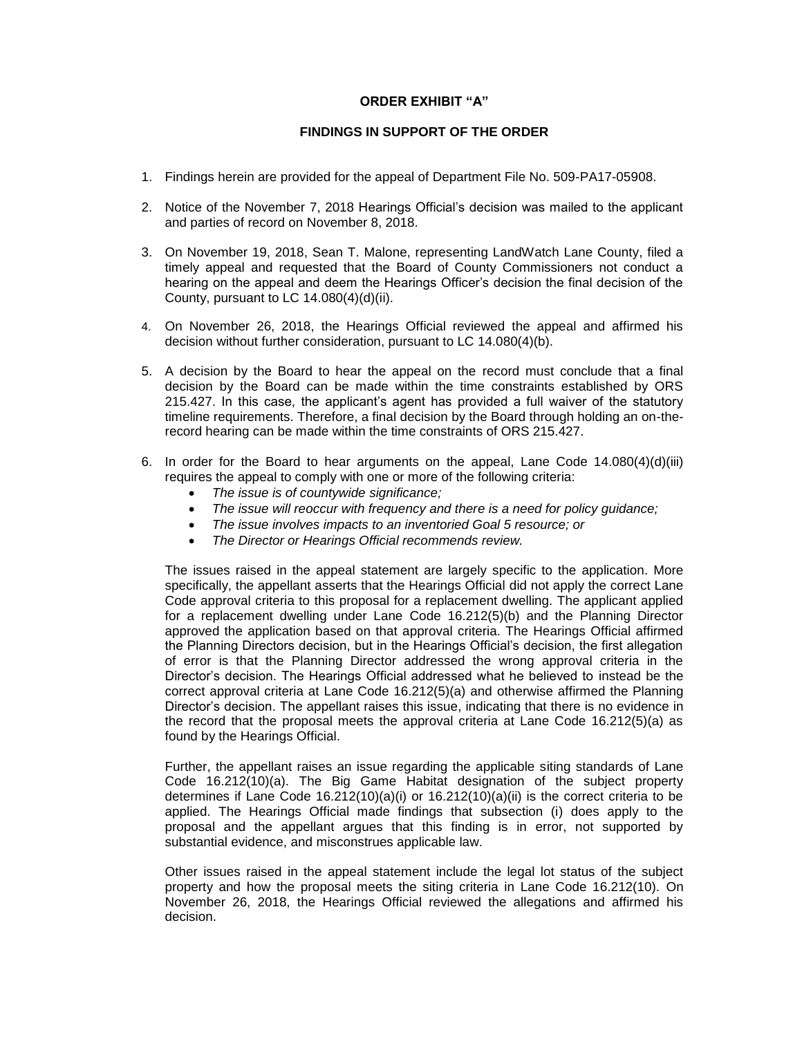## **ORDER EXHIBIT "A"**

## **FINDINGS IN SUPPORT OF THE ORDER**

- 1. Findings herein are provided for the appeal of Department File No. 509-PA17-05908.
- 2. Notice of the November 7, 2018 Hearings Official's decision was mailed to the applicant and parties of record on November 8, 2018.
- 3. On November 19, 2018, Sean T. Malone, representing LandWatch Lane County, filed a timely appeal and requested that the Board of County Commissioners not conduct a hearing on the appeal and deem the Hearings Officer's decision the final decision of the County, pursuant to LC 14.080(4)(d)(ii).
- 4. On November 26, 2018, the Hearings Official reviewed the appeal and affirmed his decision without further consideration, pursuant to LC 14.080(4)(b).
- 5. A decision by the Board to hear the appeal on the record must conclude that a final decision by the Board can be made within the time constraints established by ORS 215.427. In this case, the applicant's agent has provided a full waiver of the statutory timeline requirements. Therefore, a final decision by the Board through holding an on-therecord hearing can be made within the time constraints of ORS 215.427.
- 6. In order for the Board to hear arguments on the appeal, Lane Code  $14.080(4)(d)(iii)$ requires the appeal to comply with one or more of the following criteria:
	- *The issue is of countywide significance;*
	- *The issue will reoccur with frequency and there is a need for policy guidance;*
	- *The issue involves impacts to an inventoried Goal 5 resource; or*
	- *The Director or Hearings Official recommends review.*

The issues raised in the appeal statement are largely specific to the application. More specifically, the appellant asserts that the Hearings Official did not apply the correct Lane Code approval criteria to this proposal for a replacement dwelling. The applicant applied for a replacement dwelling under Lane Code 16.212(5)(b) and the Planning Director approved the application based on that approval criteria. The Hearings Official affirmed the Planning Directors decision, but in the Hearings Official's decision, the first allegation of error is that the Planning Director addressed the wrong approval criteria in the Director's decision. The Hearings Official addressed what he believed to instead be the correct approval criteria at Lane Code 16.212(5)(a) and otherwise affirmed the Planning Director's decision. The appellant raises this issue, indicating that there is no evidence in the record that the proposal meets the approval criteria at Lane Code 16.212(5)(a) as found by the Hearings Official.

Further, the appellant raises an issue regarding the applicable siting standards of Lane Code 16.212(10)(a). The Big Game Habitat designation of the subject property determines if Lane Code  $16.212(10)(a)(i)$  or  $16.212(10)(a)(ii)$  is the correct criteria to be applied. The Hearings Official made findings that subsection (i) does apply to the proposal and the appellant argues that this finding is in error, not supported by substantial evidence, and misconstrues applicable law.

Other issues raised in the appeal statement include the legal lot status of the subject property and how the proposal meets the siting criteria in Lane Code 16.212(10). On November 26, 2018, the Hearings Official reviewed the allegations and affirmed his decision.